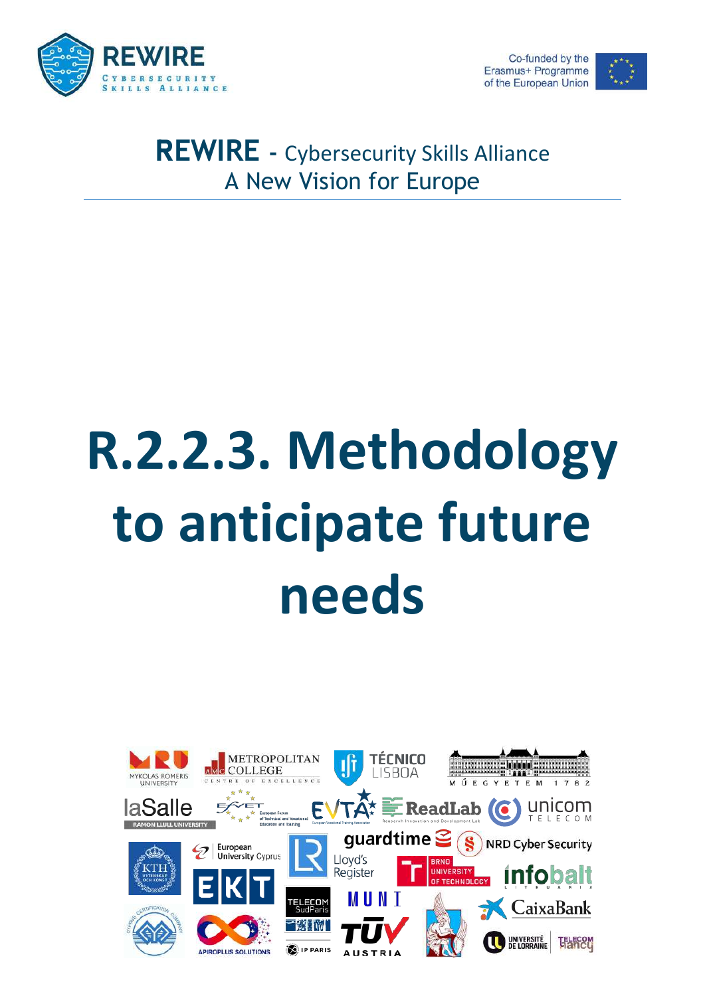



# REWIRE - Cybersecurity Skills Alliance A New Vision for Europe

# R.2.2.3. Methodology to anticipate future needs

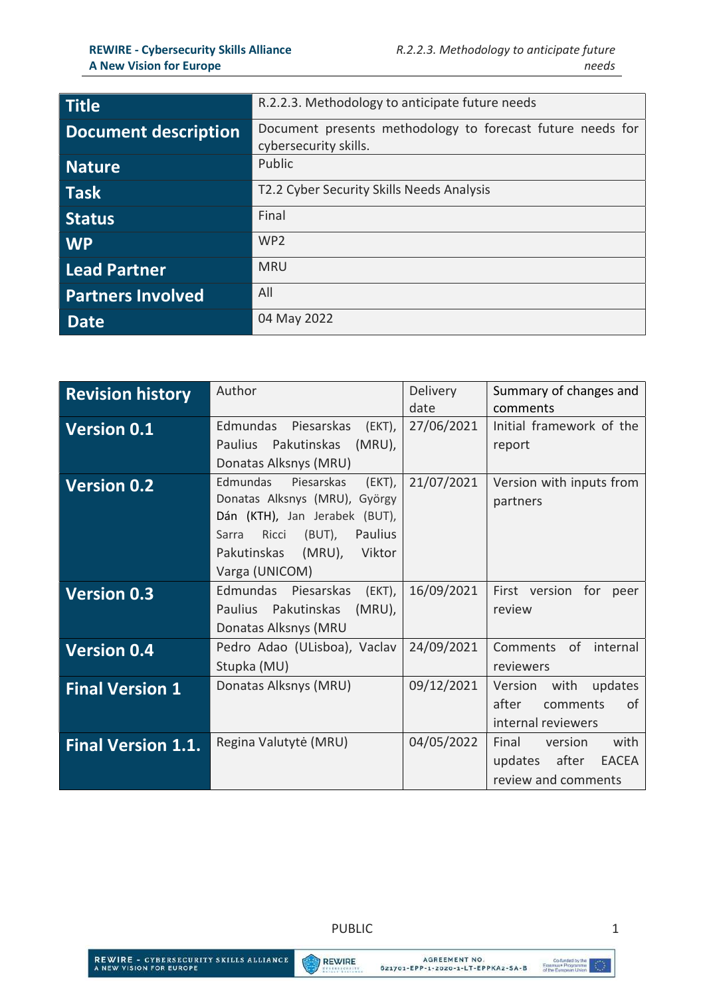| <b>Title</b>                | R.2.2.3. Methodology to anticipate future needs                                     |
|-----------------------------|-------------------------------------------------------------------------------------|
| <b>Document description</b> | Document presents methodology to forecast future needs for<br>cybersecurity skills. |
| <b>Nature</b>               | Public                                                                              |
| <b>Task</b>                 | T2.2 Cyber Security Skills Needs Analysis                                           |
| <b>Status</b>               | Final                                                                               |
| <b>WP</b>                   | WP <sub>2</sub>                                                                     |
| <b>Lead Partner</b>         | <b>MRU</b>                                                                          |
| <b>Partners Involved</b>    | All                                                                                 |
| <b>Date</b>                 | 04 May 2022                                                                         |

| <b>Revision history</b>   | Author                                                                                                                                                                                             | <b>Delivery</b><br>date | Summary of changes and<br>comments                                                  |
|---------------------------|----------------------------------------------------------------------------------------------------------------------------------------------------------------------------------------------------|-------------------------|-------------------------------------------------------------------------------------|
| <b>Version 0.1</b>        | Edmundas Piesarskas (EKT),<br>Pakutinskas<br>$(MRU)$ ,<br><b>Paulius</b><br>Donatas Alksnys (MRU)                                                                                                  | 27/06/2021              | Initial framework of the<br>report                                                  |
| <b>Version 0.2</b>        | Edmundas<br>Piesarskas<br>(EKT),<br>Donatas Alksnys (MRU), György<br>Dán (KTH), Jan Jerabek (BUT),<br>Ricci<br>(BUT),<br><b>Paulius</b><br>Sarra<br>Pakutinskas (MRU),<br>Viktor<br>Varga (UNICOM) | 21/07/2021              | Version with inputs from<br>partners                                                |
| <b>Version 0.3</b>        | Edmundas Piesarskas<br>(EKT),<br>Paulius Pakutinskas<br>$(MRU)$ ,<br>Donatas Alksnys (MRU                                                                                                          | 16/09/2021              | First version for<br>peer<br>review                                                 |
| <b>Version 0.4</b>        | Pedro Adao (ULisboa), Vaclav<br>Stupka (MU)                                                                                                                                                        | 24/09/2021              | Comments of internal<br>reviewers                                                   |
| <b>Final Version 1</b>    | Donatas Alksnys (MRU)                                                                                                                                                                              | 09/12/2021              | Version with<br>updates<br>of<br>after<br>comments<br>internal reviewers            |
| <b>Final Version 1.1.</b> | Regina Valutytė (MRU)                                                                                                                                                                              | 04/05/2022              | with<br>Final<br>version<br>after<br><b>EACEA</b><br>updates<br>review and comments |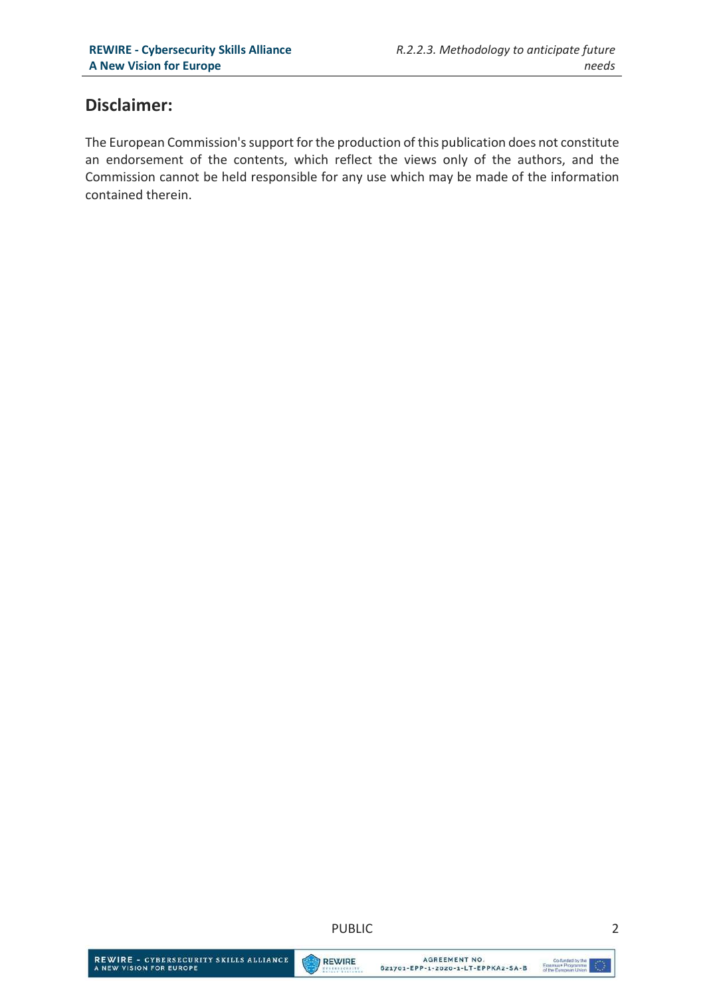## Disclaimer:

The European Commission's support for the production of this publication does not constitute an endorsement of the contents, which reflect the views only of the authors, and the Commission cannot be held responsible for any use which may be made of the information contained therein.

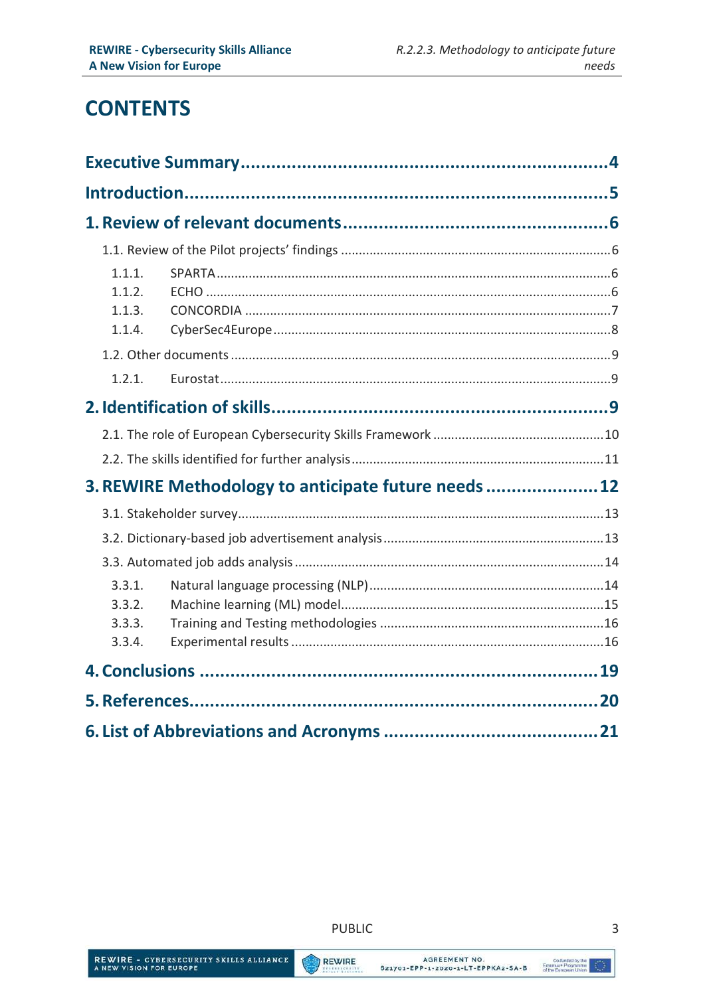# **CONTENTS**

| 1.1.1.<br>1.1.2.<br>1.1.3.<br>1.1.4. |                                                      |  |
|--------------------------------------|------------------------------------------------------|--|
|                                      |                                                      |  |
| 1.2.1.                               |                                                      |  |
|                                      |                                                      |  |
|                                      |                                                      |  |
|                                      |                                                      |  |
|                                      | 3. REWIRE Methodology to anticipate future needs  12 |  |
|                                      |                                                      |  |
|                                      |                                                      |  |
|                                      |                                                      |  |
| 3.3.1.<br>3.3.2.<br>3.3.3.<br>3.3.4. |                                                      |  |
|                                      |                                                      |  |
|                                      |                                                      |  |
|                                      |                                                      |  |

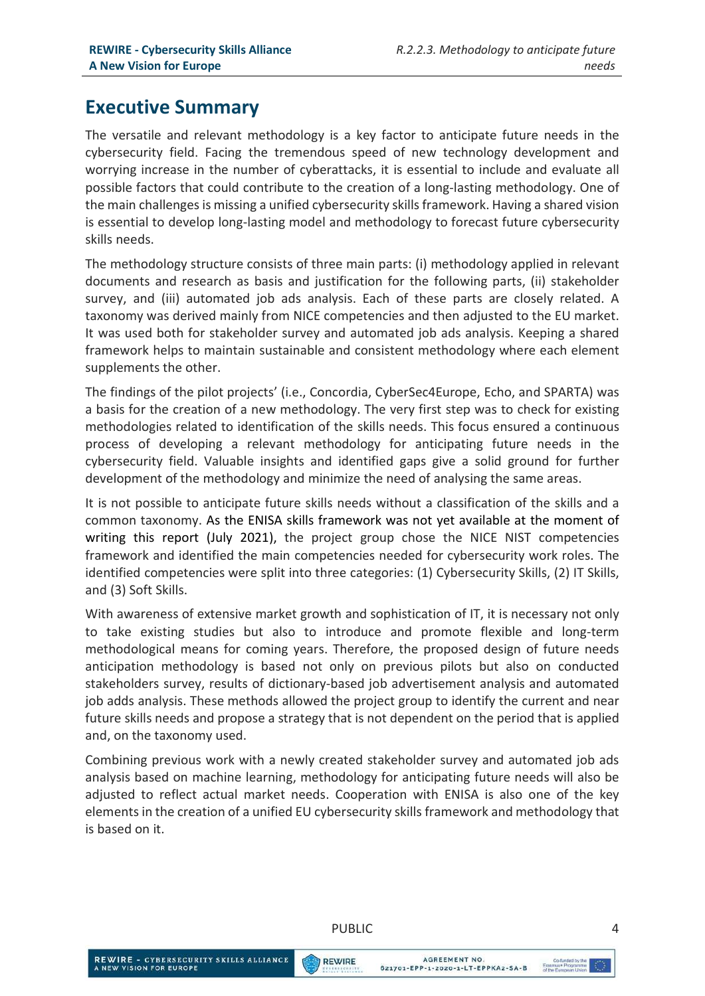# Executive Summary

The versatile and relevant methodology is a key factor to anticipate future needs in the cybersecurity field. Facing the tremendous speed of new technology development and worrying increase in the number of cyberattacks, it is essential to include and evaluate all possible factors that could contribute to the creation of a long-lasting methodology. One of the main challenges is missing a unified cybersecurity skills framework. Having a shared vision is essential to develop long-lasting model and methodology to forecast future cybersecurity skills needs.

The methodology structure consists of three main parts: (i) methodology applied in relevant documents and research as basis and justification for the following parts, (ii) stakeholder survey, and (iii) automated job ads analysis. Each of these parts are closely related. A taxonomy was derived mainly from NICE competencies and then adjusted to the EU market. It was used both for stakeholder survey and automated job ads analysis. Keeping a shared framework helps to maintain sustainable and consistent methodology where each element supplements the other.

The findings of the pilot projects' (i.e., Concordia, CyberSec4Europe, Echo, and SPARTA) was a basis for the creation of a new methodology. The very first step was to check for existing methodologies related to identification of the skills needs. This focus ensured a continuous process of developing a relevant methodology for anticipating future needs in the cybersecurity field. Valuable insights and identified gaps give a solid ground for further development of the methodology and minimize the need of analysing the same areas.

It is not possible to anticipate future skills needs without a classification of the skills and a common taxonomy. As the ENISA skills framework was not yet available at the moment of writing this report (July 2021), the project group chose the NICE NIST competencies framework and identified the main competencies needed for cybersecurity work roles. The identified competencies were split into three categories: (1) Cybersecurity Skills, (2) IT Skills, and (3) Soft Skills.

With awareness of extensive market growth and sophistication of IT, it is necessary not only to take existing studies but also to introduce and promote flexible and long-term methodological means for coming years. Therefore, the proposed design of future needs anticipation methodology is based not only on previous pilots but also on conducted stakeholders survey, results of dictionary-based job advertisement analysis and automated job adds analysis. These methods allowed the project group to identify the current and near future skills needs and propose a strategy that is not dependent on the period that is applied and, on the taxonomy used.

Combining previous work with a newly created stakeholder survey and automated job ads analysis based on machine learning, methodology for anticipating future needs will also be adjusted to reflect actual market needs. Cooperation with ENISA is also one of the key elements in the creation of a unified EU cybersecurity skills framework and methodology that is based on it.

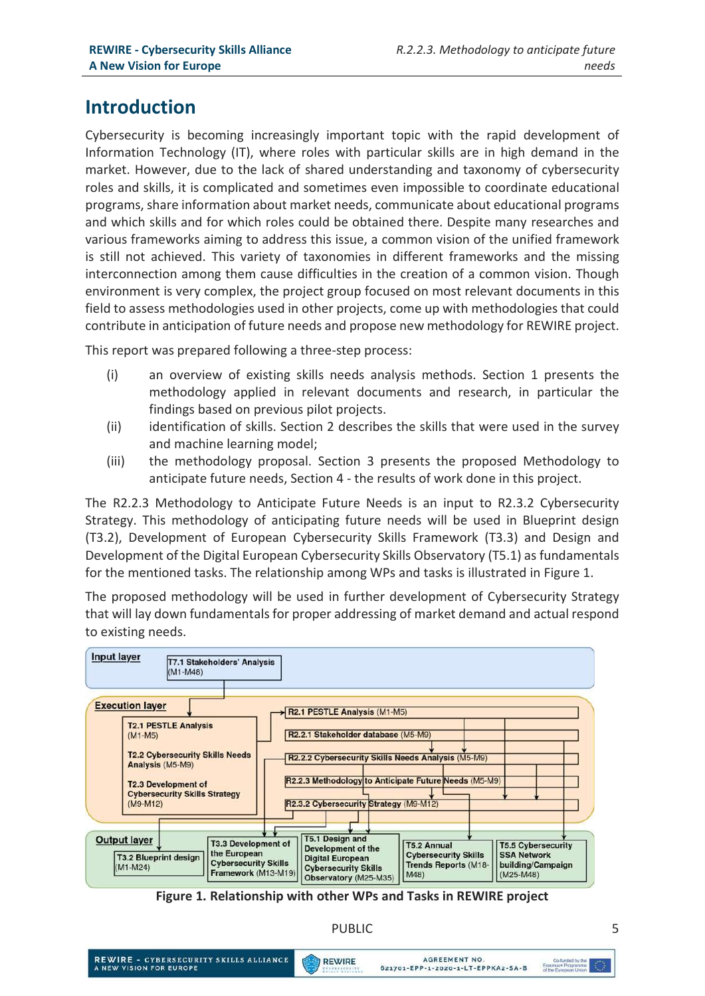# Introduction

Cybersecurity is becoming increasingly important topic with the rapid development of Information Technology (IT), where roles with particular skills are in high demand in the market. However, due to the lack of shared understanding and taxonomy of cybersecurity roles and skills, it is complicated and sometimes even impossible to coordinate educational programs, share information about market needs, communicate about educational programs and which skills and for which roles could be obtained there. Despite many researches and various frameworks aiming to address this issue, a common vision of the unified framework is still not achieved. This variety of taxonomies in different frameworks and the missing interconnection among them cause difficulties in the creation of a common vision. Though environment is very complex, the project group focused on most relevant documents in this field to assess methodologies used in other projects, come up with methodologies that could contribute in anticipation of future needs and propose new methodology for REWIRE project.

This report was prepared following a three-step process:

- (i) an overview of existing skills needs analysis methods. Section 1 presents the methodology applied in relevant documents and research, in particular the findings based on previous pilot projects.
- (ii) identification of skills. Section 2 describes the skills that were used in the survey and machine learning model;
- (iii) the methodology proposal. Section 3 presents the proposed Methodology to anticipate future needs, Section 4 - the results of work done in this project.

The R2.2.3 Methodology to Anticipate Future Needs is an input to R2.3.2 Cybersecurity Strategy. This methodology of anticipating future needs will be used in Blueprint design (T3.2), Development of European Cybersecurity Skills Framework (T3.3) and Design and Development of the Digital European Cybersecurity Skills Observatory (T5.1) as fundamentals for the mentioned tasks. The relationship among WPs and tasks is illustrated in Figure 1.

The proposed methodology will be used in further development of Cybersecurity Strategy that will lay down fundamentals for proper addressing of market demand and actual respond to existing needs.



Figure 1. Relationship with other WPs and Tasks in REWIRE project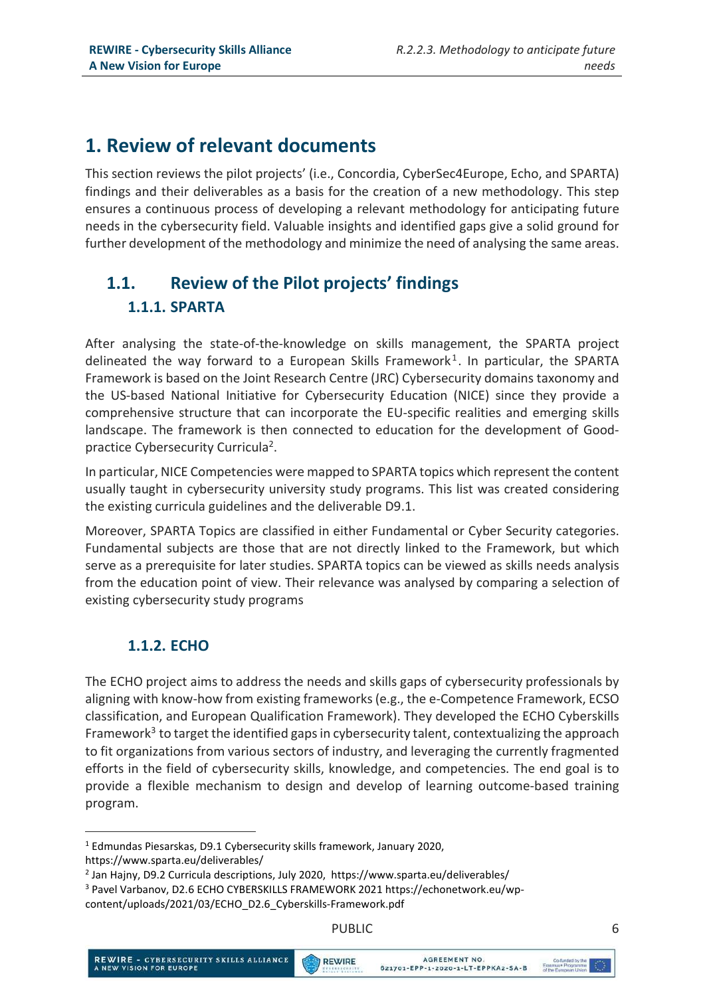# 1. Review of relevant documents

This section reviews the pilot projects' (i.e., Concordia, CyberSec4Europe, Echo, and SPARTA) findings and their deliverables as a basis for the creation of a new methodology. This step ensures a continuous process of developing a relevant methodology for anticipating future needs in the cybersecurity field. Valuable insights and identified gaps give a solid ground for further development of the methodology and minimize the need of analysing the same areas.

# 1.1. Review of the Pilot projects' findings 1.1.1. SPARTA

After analysing the state-of-the-knowledge on skills management, the SPARTA project delineated the way forward to a European Skills Framework<sup>1</sup>. In particular, the SPARTA Framework is based on the Joint Research Centre (JRC) Cybersecurity domains taxonomy and the US-based National Initiative for Cybersecurity Education (NICE) since they provide a comprehensive structure that can incorporate the EU-specific realities and emerging skills landscape. The framework is then connected to education for the development of Goodpractice Cybersecurity Curricula<sup>2</sup>.

In particular, NICE Competencies were mapped to SPARTA topics which represent the content usually taught in cybersecurity university study programs. This list was created considering the existing curricula guidelines and the deliverable D9.1.

Moreover, SPARTA Topics are classified in either Fundamental or Cyber Security categories. Fundamental subjects are those that are not directly linked to the Framework, but which serve as a prerequisite for later studies. SPARTA topics can be viewed as skills needs analysis from the education point of view. Their relevance was analysed by comparing a selection of existing cybersecurity study programs

## 1.1.2. ECHO

The ECHO project aims to address the needs and skills gaps of cybersecurity professionals by aligning with know-how from existing frameworks (e.g., the e-Competence Framework, ECSO classification, and European Qualification Framework). They developed the ECHO Cyberskills Framework<sup>3</sup> to target the identified gaps in cybersecurity talent, contextualizing the approach to fit organizations from various sectors of industry, and leveraging the currently fragmented efforts in the field of cybersecurity skills, knowledge, and competencies. The end goal is to provide a flexible mechanism to design and develop of learning outcome-based training program.

-



<sup>&</sup>lt;sup>1</sup> Edmundas Piesarskas, D9.1 Cybersecurity skills framework, January 2020,

https://www.sparta.eu/deliverables/

<sup>&</sup>lt;sup>2</sup> Jan Hajny, D9.2 Curricula descriptions, July 2020, https://www.sparta.eu/deliverables/

<sup>&</sup>lt;sup>3</sup> Pavel Varbanov, D2.6 ECHO CYBERSKILLS FRAMEWORK 2021 https://echonetwork.eu/wp-

content/uploads/2021/03/ECHO\_D2.6\_Cyberskills-Framework.pdf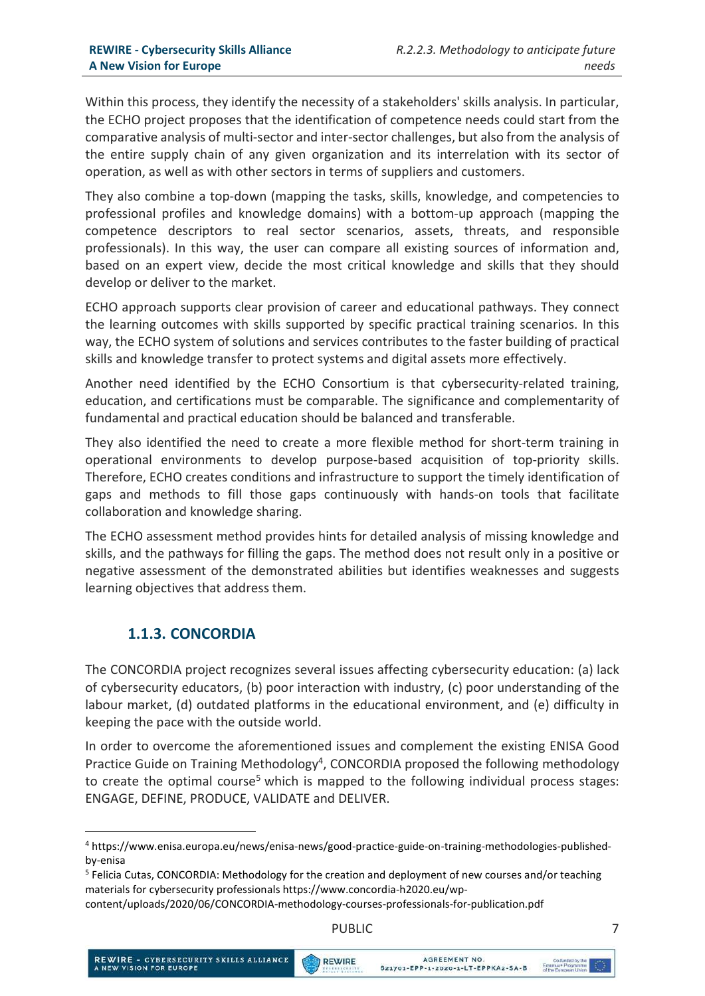Within this process, they identify the necessity of a stakeholders' skills analysis. In particular, the ECHO project proposes that the identification of competence needs could start from the comparative analysis of multi-sector and inter-sector challenges, but also from the analysis of the entire supply chain of any given organization and its interrelation with its sector of operation, as well as with other sectors in terms of suppliers and customers.

They also combine a top-down (mapping the tasks, skills, knowledge, and competencies to professional profiles and knowledge domains) with a bottom-up approach (mapping the competence descriptors to real sector scenarios, assets, threats, and responsible professionals). In this way, the user can compare all existing sources of information and, based on an expert view, decide the most critical knowledge and skills that they should develop or deliver to the market.

ECHO approach supports clear provision of career and educational pathways. They connect the learning outcomes with skills supported by specific practical training scenarios. In this way, the ECHO system of solutions and services contributes to the faster building of practical skills and knowledge transfer to protect systems and digital assets more effectively.

Another need identified by the ECHO Consortium is that cybersecurity-related training, education, and certifications must be comparable. The significance and complementarity of fundamental and practical education should be balanced and transferable.

They also identified the need to create a more flexible method for short-term training in operational environments to develop purpose-based acquisition of top-priority skills. Therefore, ECHO creates conditions and infrastructure to support the timely identification of gaps and methods to fill those gaps continuously with hands-on tools that facilitate collaboration and knowledge sharing.

The ECHO assessment method provides hints for detailed analysis of missing knowledge and skills, and the pathways for filling the gaps. The method does not result only in a positive or negative assessment of the demonstrated abilities but identifies weaknesses and suggests learning objectives that address them.

#### 1.1.3. CONCORDIA

-

The CONCORDIA project recognizes several issues affecting cybersecurity education: (a) lack of cybersecurity educators, (b) poor interaction with industry, (c) poor understanding of the labour market, (d) outdated platforms in the educational environment, and (e) difficulty in keeping the pace with the outside world.

In order to overcome the aforementioned issues and complement the existing ENISA Good Practice Guide on Training Methodology<sup>4</sup>, CONCORDIA proposed the following methodology to create the optimal course<sup>5</sup> which is mapped to the following individual process stages: ENGAGE, DEFINE, PRODUCE, VALIDATE and DELIVER.

<sup>4</sup> https://www.enisa.europa.eu/news/enisa-news/good-practice-guide-on-training-methodologies-publishedby-enisa

<sup>&</sup>lt;sup>5</sup> Felicia Cutas, CONCORDIA: Methodology for the creation and deployment of new courses and/or teaching materials for cybersecurity professionals https://www.concordia-h2020.eu/wp-

content/uploads/2020/06/CONCORDIA-methodology-courses-professionals-for-publication.pdf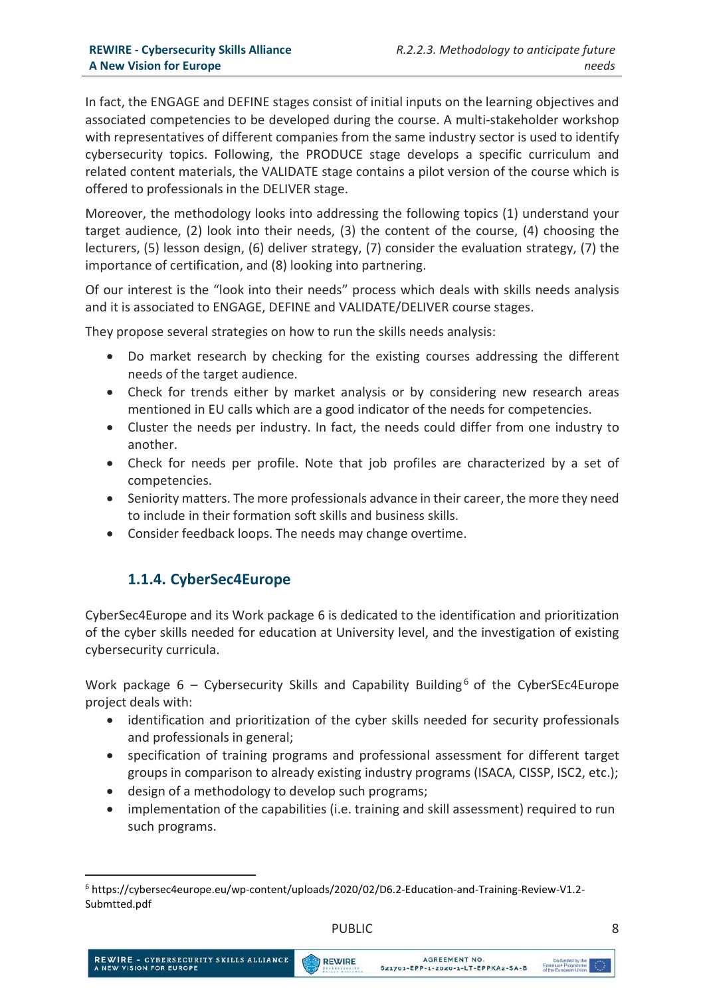In fact, the ENGAGE and DEFINE stages consist of initial inputs on the learning objectives and associated competencies to be developed during the course. A multi-stakeholder workshop with representatives of different companies from the same industry sector is used to identify cybersecurity topics. Following, the PRODUCE stage develops a specific curriculum and related content materials, the VALIDATE stage contains a pilot version of the course which is offered to professionals in the DELIVER stage.

Moreover, the methodology looks into addressing the following topics (1) understand your target audience, (2) look into their needs, (3) the content of the course, (4) choosing the lecturers, (5) lesson design, (6) deliver strategy, (7) consider the evaluation strategy, (7) the importance of certification, and (8) looking into partnering.

Of our interest is the "look into their needs" process which deals with skills needs analysis and it is associated to ENGAGE, DEFINE and VALIDATE/DELIVER course stages.

They propose several strategies on how to run the skills needs analysis:

- Do market research by checking for the existing courses addressing the different needs of the target audience.
- Check for trends either by market analysis or by considering new research areas mentioned in EU calls which are a good indicator of the needs for competencies.
- Cluster the needs per industry. In fact, the needs could differ from one industry to another.
- Check for needs per profile. Note that job profiles are characterized by a set of competencies.
- Seniority matters. The more professionals advance in their career, the more they need to include in their formation soft skills and business skills.
- Consider feedback loops. The needs may change overtime.

#### 1.1.4. CyberSec4Europe

CyberSec4Europe and its Work package 6 is dedicated to the identification and prioritization of the cyber skills needed for education at University level, and the investigation of existing cybersecurity curricula.

Work package  $6$  – Cybersecurity Skills and Capability Building<sup>6</sup> of the CyberSEc4Europe project deals with:

- identification and prioritization of the cyber skills needed for security professionals and professionals in general;
- specification of training programs and professional assessment for different target groups in comparison to already existing industry programs (ISACA, CISSP, ISC2, etc.);
- design of a methodology to develop such programs;
- implementation of the capabilities (i.e. training and skill assessment) required to run such programs.

-

<sup>6</sup> https://cybersec4europe.eu/wp-content/uploads/2020/02/D6.2-Education-and-Training-Review-V1.2- Submtted.pdf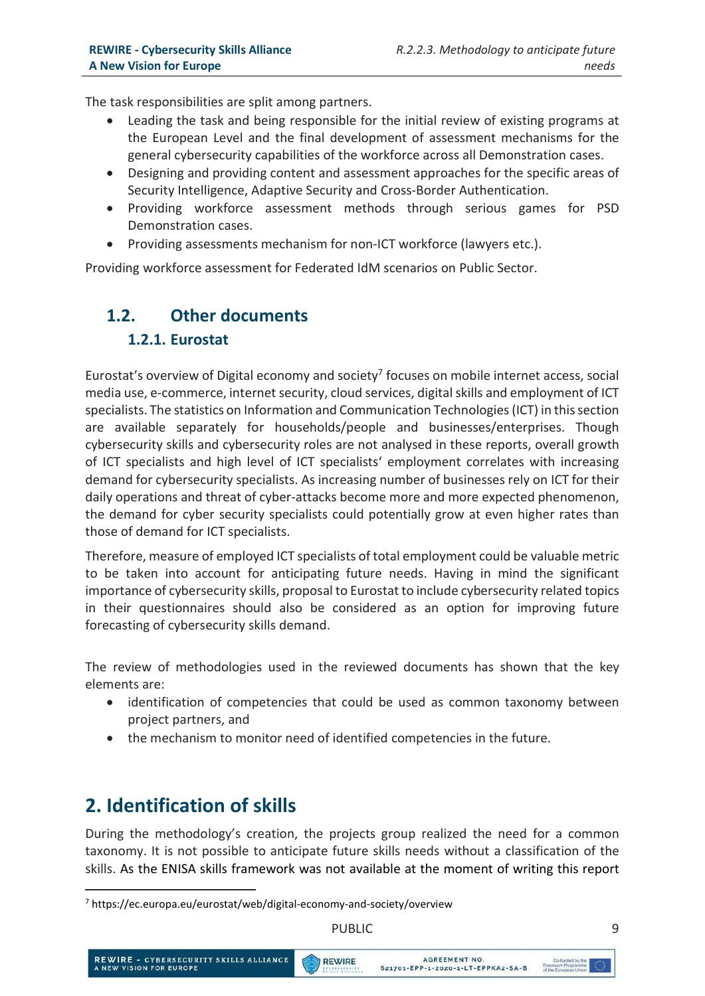The task responsibilities are split among partners.

- Leading the task and being responsible for the initial review of existing programs at the European Level and the final development of assessment mechanisms for the general cybersecurity capabilities of the workforce across all Demonstration cases.
- Designing and providing content and assessment approaches for the specific areas of Security Intelligence, Adaptive Security and Cross-Border Authentication.
- Providing workforce assessment methods through serious games for PSD Demonstration cases.
- Providing assessments mechanism for non-ICT workforce (lawyers etc.).

Providing workforce assessment for Federated IdM scenarios on Public Sector.

# 1.2. Other documents

## 1.2.1. Eurostat

Eurostat's overview of Digital economy and society<sup>7</sup> focuses on mobile internet access, social media use, e-commerce, internet security, cloud services, digital skills and employment of ICT specialists. The statistics on Information and Communication Technologies (ICT) in this section are available separately for households/people and businesses/enterprises. Though cybersecurity skills and cybersecurity roles are not analysed in these reports, overall growth of ICT specialists and high level of ICT specialists' employment correlates with increasing demand for cybersecurity specialists. As increasing number of businesses rely on ICT for their daily operations and threat of cyber-attacks become more and more expected phenomenon, the demand for cyber security specialists could potentially grow at even higher rates than those of demand for ICT specialists.

Therefore, measure of employed ICT specialists of total employment could be valuable metric to be taken into account for anticipating future needs. Having in mind the significant importance of cybersecurity skills, proposal to Eurostat to include cybersecurity related topics in their questionnaires should also be considered as an option for improving future forecasting of cybersecurity skills demand.

The review of methodologies used in the reviewed documents has shown that the key elements are:

- identification of competencies that could be used as common taxonomy between project partners, and
- the mechanism to monitor need of identified competencies in the future.

# 2. Identification of skills

-

During the methodology's creation, the projects group realized the need for a common taxonomy. It is not possible to anticipate future skills needs without a classification of the skills. As the ENISA skills framework was not available at the moment of writing this report



<sup>7</sup> https://ec.europa.eu/eurostat/web/digital-economy-and-society/overview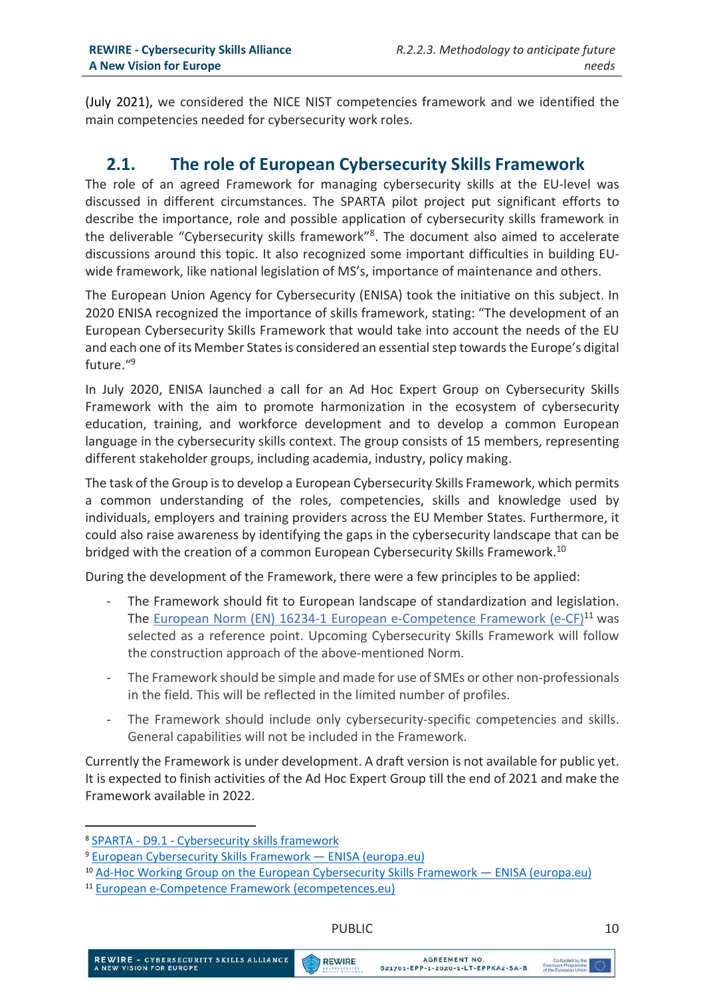(July 2021), we considered the NICE NIST competencies framework and we identified the main competencies needed for cybersecurity work roles.

#### 2.1. The role of European Cybersecurity Skills Framework

The role of an agreed Framework for managing cybersecurity skills at the EU-level was discussed in different circumstances. The SPARTA pilot project put significant efforts to describe the importance, role and possible application of cybersecurity skills framework in the deliverable "Cybersecurity skills framework"<sup>8</sup>. The document also aimed to accelerate discussions around this topic. It also recognized some important difficulties in building EUwide framework, like national legislation of MS's, importance of maintenance and others.

The European Union Agency for Cybersecurity (ENISA) took the initiative on this subject. In 2020 ENISA recognized the importance of skills framework, stating: "The development of an European Cybersecurity Skills Framework that would take into account the needs of the EU and each one of its Member States is considered an essential step towards the Europe's digital future."<sup>9</sup>

In July 2020, ENISA launched a call for an Ad Hoc Expert Group on Cybersecurity Skills Framework with the aim to promote harmonization in the ecosystem of cybersecurity education, training, and workforce development and to develop a common European language in the cybersecurity skills context. The group consists of 15 members, representing different stakeholder groups, including academia, industry, policy making.

The task of the Group is to develop a European Cybersecurity Skills Framework, which permits a common understanding of the roles, competencies, skills and knowledge used by individuals, employers and training providers across the EU Member States. Furthermore, it could also raise awareness by identifying the gaps in the cybersecurity landscape that can be bridged with the creation of a common European Cybersecurity Skills Framework.<sup>10</sup>

During the development of the Framework, there were a few principles to be applied:

- The Framework should fit to European landscape of standardization and legislation. The European Norm (EN) 16234-1 European e-Competence Framework (e-CF)<sup>11</sup> was selected as a reference point. Upcoming Cybersecurity Skills Framework will follow the construction approach of the above-mentioned Norm.
- The Framework should be simple and made for use of SMEs or other non-professionals in the field. This will be reflected in the limited number of profiles.
- The Framework should include only cybersecurity-specific competencies and skills. General capabilities will not be included in the Framework.

Currently the Framework is under development. A draft version is not available for public yet. It is expected to finish activities of the Ad Hoc Expert Group till the end of 2021 and make the Framework available in 2022.

-

REWIRE

<sup>8</sup> SPARTA - D9.1 - Cybersecurity skills framework

<sup>9</sup> European Cybersecurity Skills Framework — ENISA (europa.eu)

<sup>&</sup>lt;sup>10</sup> Ad-Hoc Working Group on the European Cybersecurity Skills Framework — ENISA (europa.eu)

<sup>11</sup> European e-Competence Framework (ecompetences.eu)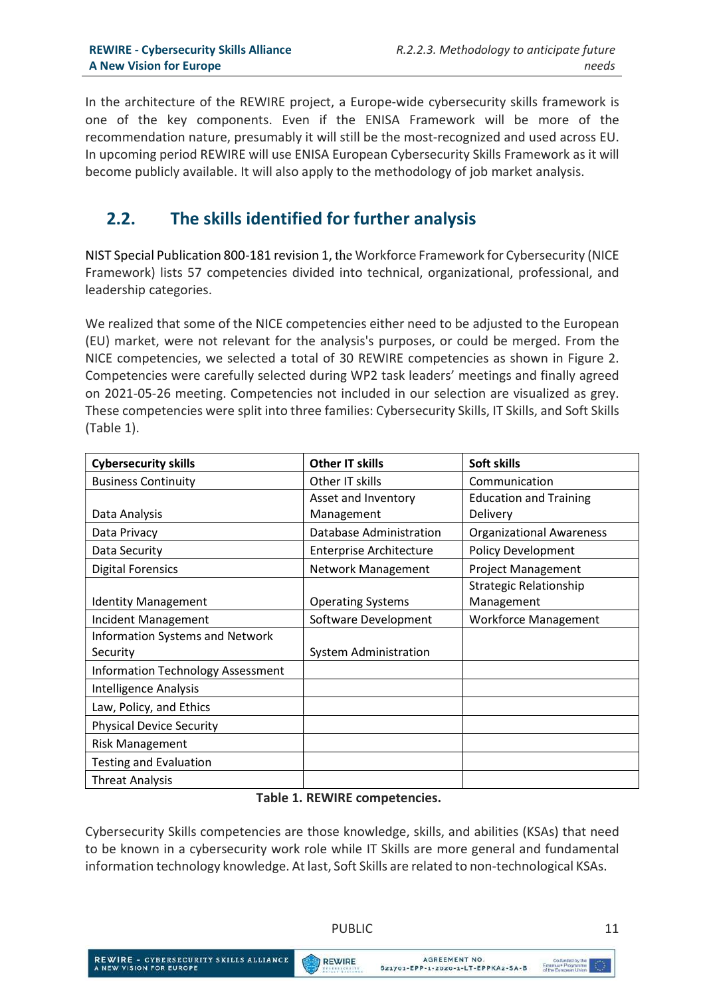In the architecture of the REWIRE project, a Europe-wide cybersecurity skills framework is one of the key components. Even if the ENISA Framework will be more of the recommendation nature, presumably it will still be the most-recognized and used across EU. In upcoming period REWIRE will use ENISA European Cybersecurity Skills Framework as it will become publicly available. It will also apply to the methodology of job market analysis.

# 2.2. The skills identified for further analysis

NIST Special Publication 800-181 revision 1, the Workforce Framework for Cybersecurity (NICE Framework) lists 57 competencies divided into technical, organizational, professional, and leadership categories.

We realized that some of the NICE competencies either need to be adjusted to the European (EU) market, were not relevant for the analysis's purposes, or could be merged. From the NICE competencies, we selected a total of 30 REWIRE competencies as shown in Figure 2. Competencies were carefully selected during WP2 task leaders' meetings and finally agreed on 2021-05-26 meeting. Competencies not included in our selection are visualized as grey. These competencies were split into three families: Cybersecurity Skills, IT Skills, and Soft Skills (Table 1).

| <b>Cybersecurity skills</b>              | <b>Other IT skills</b>         | Soft skills                     |
|------------------------------------------|--------------------------------|---------------------------------|
| <b>Business Continuity</b>               | Other IT skills                | Communication                   |
|                                          | Asset and Inventory            | <b>Education and Training</b>   |
| Data Analysis                            | Management                     | Delivery                        |
| Data Privacy                             | Database Administration        | <b>Organizational Awareness</b> |
| Data Security                            | <b>Enterprise Architecture</b> | <b>Policy Development</b>       |
| <b>Digital Forensics</b>                 | Network Management             | <b>Project Management</b>       |
|                                          |                                | <b>Strategic Relationship</b>   |
| <b>Identity Management</b>               | <b>Operating Systems</b>       | Management                      |
| Incident Management                      | Software Development           | <b>Workforce Management</b>     |
| <b>Information Systems and Network</b>   |                                |                                 |
| Security                                 | System Administration          |                                 |
| <b>Information Technology Assessment</b> |                                |                                 |
| Intelligence Analysis                    |                                |                                 |
| Law, Policy, and Ethics                  |                                |                                 |
| <b>Physical Device Security</b>          |                                |                                 |
| <b>Risk Management</b>                   |                                |                                 |
| <b>Testing and Evaluation</b>            |                                |                                 |
| <b>Threat Analysis</b>                   |                                |                                 |

#### Table 1. REWIRE competencies.

Cybersecurity Skills competencies are those knowledge, skills, and abilities (KSAs) that need to be known in a cybersecurity work role while IT Skills are more general and fundamental information technology knowledge. At last, Soft Skills are related to non-technological KSAs.

PUBLIC 11

REWIRE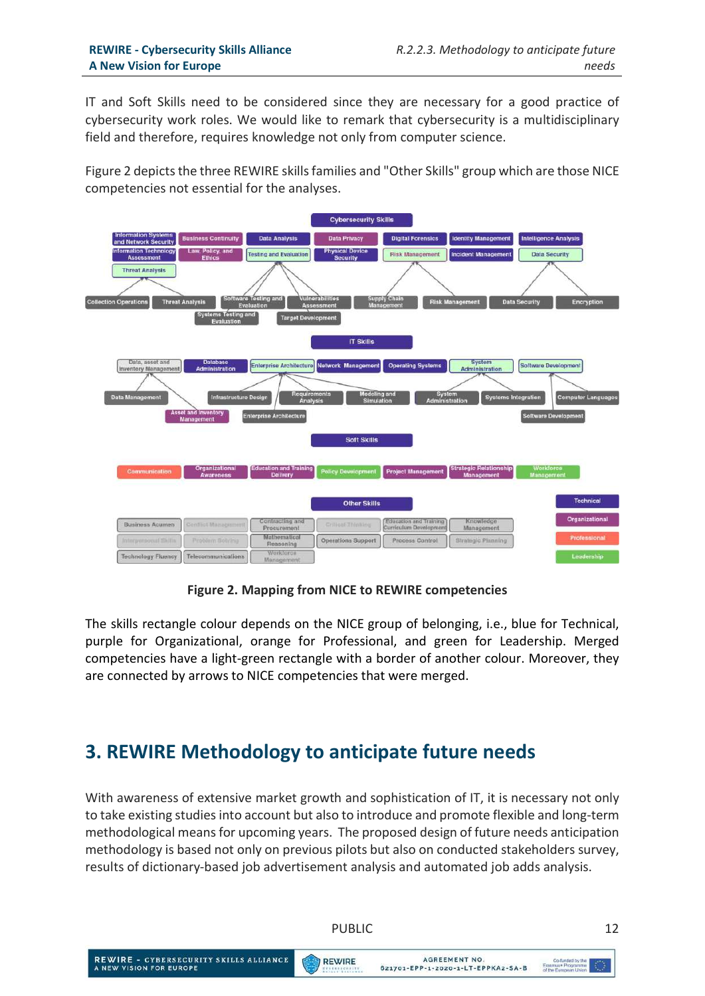IT and Soft Skills need to be considered since they are necessary for a good practice of cybersecurity work roles. We would like to remark that cybersecurity is a multidisciplinary field and therefore, requires knowledge not only from computer science.

Figure 2 depicts the three REWIRE skills families and "Other Skills" group which are those NICE competencies not essential for the analyses.



Figure 2. Mapping from NICE to REWIRE competencies

The skills rectangle colour depends on the NICE group of belonging, i.e., blue for Technical, purple for Organizational, orange for Professional, and green for Leadership. Merged competencies have a light-green rectangle with a border of another colour. Moreover, they are connected by arrows to NICE competencies that were merged.

# 3. REWIRE Methodology to anticipate future needs

With awareness of extensive market growth and sophistication of IT, it is necessary not only to take existing studies into account but also to introduce and promote flexible and long-term methodological means for upcoming years. The proposed design of future needs anticipation methodology is based not only on previous pilots but also on conducted stakeholders survey, results of dictionary-based job advertisement analysis and automated job adds analysis.

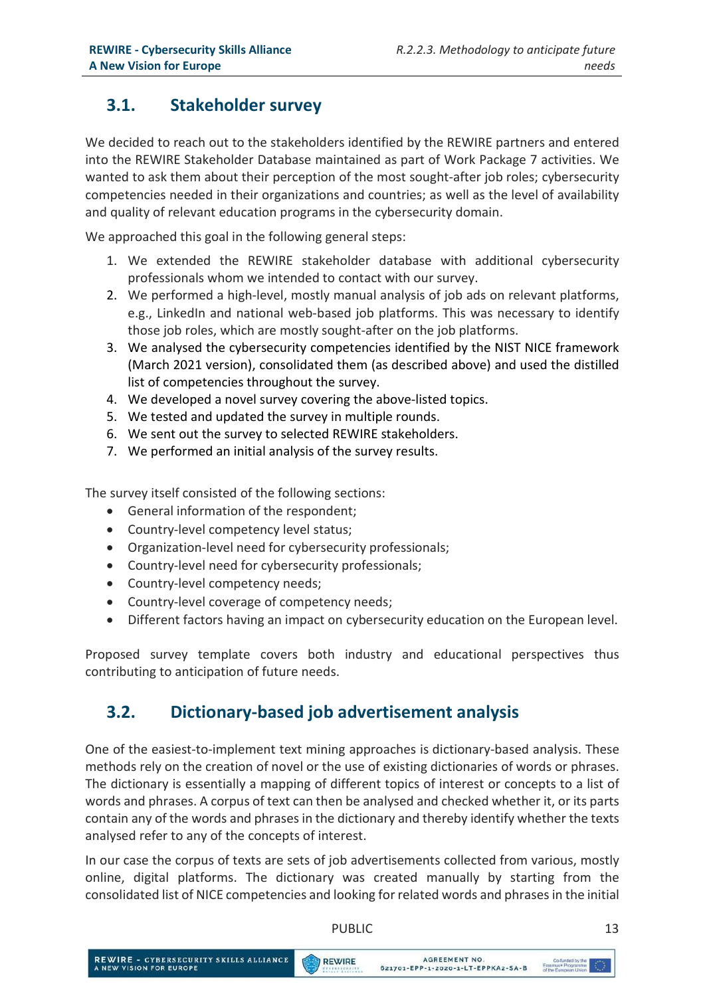# 3.1. Stakeholder survey

We decided to reach out to the stakeholders identified by the REWIRE partners and entered into the REWIRE Stakeholder Database maintained as part of Work Package 7 activities. We wanted to ask them about their perception of the most sought-after job roles; cybersecurity competencies needed in their organizations and countries; as well as the level of availability and quality of relevant education programs in the cybersecurity domain.

We approached this goal in the following general steps:

- 1. We extended the REWIRE stakeholder database with additional cybersecurity professionals whom we intended to contact with our survey.
- 2. We performed a high-level, mostly manual analysis of job ads on relevant platforms, e.g., LinkedIn and national web-based job platforms. This was necessary to identify those job roles, which are mostly sought-after on the job platforms.
- 3. We analysed the cybersecurity competencies identified by the NIST NICE framework (March 2021 version), consolidated them (as described above) and used the distilled list of competencies throughout the survey.
- 4. We developed a novel survey covering the above-listed topics.
- 5. We tested and updated the survey in multiple rounds.
- 6. We sent out the survey to selected REWIRE stakeholders.
- 7. We performed an initial analysis of the survey results.

The survey itself consisted of the following sections:

- General information of the respondent;
- Country-level competency level status;
- Organization-level need for cybersecurity professionals;
- Country-level need for cybersecurity professionals;
- Country-level competency needs;
- Country-level coverage of competency needs;
- Different factors having an impact on cybersecurity education on the European level.

Proposed survey template covers both industry and educational perspectives thus contributing to anticipation of future needs.

# 3.2. Dictionary-based job advertisement analysis

One of the easiest-to-implement text mining approaches is dictionary-based analysis. These methods rely on the creation of novel or the use of existing dictionaries of words or phrases. The dictionary is essentially a mapping of different topics of interest or concepts to a list of words and phrases. A corpus of text can then be analysed and checked whether it, or its parts contain any of the words and phrases in the dictionary and thereby identify whether the texts analysed refer to any of the concepts of interest.

In our case the corpus of texts are sets of job advertisements collected from various, mostly online, digital platforms. The dictionary was created manually by starting from the consolidated list of NICE competencies and looking for related words and phrases in the initial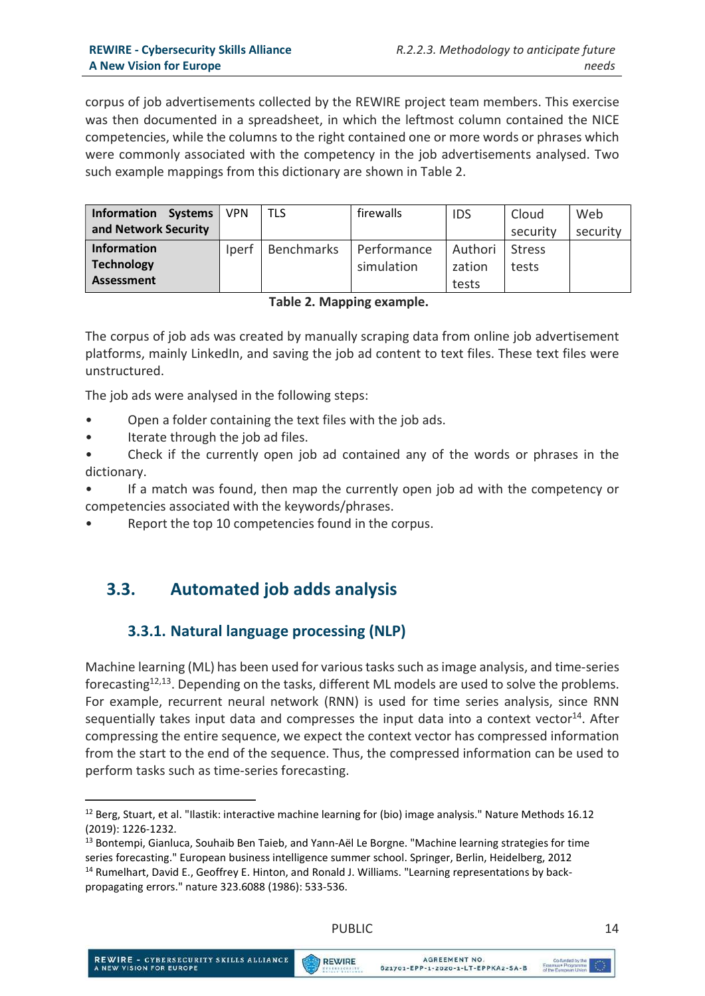corpus of job advertisements collected by the REWIRE project team members. This exercise was then documented in a spreadsheet, in which the leftmost column contained the NICE competencies, while the columns to the right contained one or more words or phrases which were commonly associated with the competency in the job advertisements analysed. Two such example mappings from this dictionary are shown in Table 2.

| <b>Information</b><br>Systems | <b>VPN</b> | TLS               | firewalls   | <b>IDS</b> | Cloud         | Web      |
|-------------------------------|------------|-------------------|-------------|------------|---------------|----------|
| and Network Security          |            |                   |             |            | security      | security |
| <b>Information</b>            | Iperf      | <b>Benchmarks</b> | Performance | Authori    | <b>Stress</b> |          |
| <b>Technology</b>             |            |                   | simulation  | zation     | tests         |          |
| Assessment                    |            |                   |             | tests      |               |          |

Table 2. Mapping example.

The corpus of job ads was created by manually scraping data from online job advertisement platforms, mainly LinkedIn, and saving the job ad content to text files. These text files were unstructured.

The job ads were analysed in the following steps:

- Open a folder containing the text files with the job ads.
- Iterate through the job ad files.

• Check if the currently open job ad contained any of the words or phrases in the dictionary.

• If a match was found, then map the currently open job ad with the competency or competencies associated with the keywords/phrases.

Report the top 10 competencies found in the corpus.

## 3.3. Automated job adds analysis

#### 3.3.1. Natural language processing (NLP)

Machine learning (ML) has been used for various tasks such as image analysis, and time-series forecasting<sup>12,13</sup>. Depending on the tasks, different ML models are used to solve the problems. For example, recurrent neural network (RNN) is used for time series analysis, since RNN sequentially takes input data and compresses the input data into a context vector $^{14}$ . After compressing the entire sequence, we expect the context vector has compressed information from the start to the end of the sequence. Thus, the compressed information can be used to perform tasks such as time-series forecasting.

-



<sup>12</sup> Berg, Stuart, et al. "Ilastik: interactive machine learning for (bio) image analysis." Nature Methods 16.12 (2019): 1226-1232.

<sup>&</sup>lt;sup>13</sup> Bontempi, Gianluca, Souhaib Ben Taieb, and Yann-Aël Le Borgne. "Machine learning strategies for time series forecasting." European business intelligence summer school. Springer, Berlin, Heidelberg, 2012 <sup>14</sup> Rumelhart, David E., Geoffrey E. Hinton, and Ronald J. Williams. "Learning representations by backpropagating errors." nature 323.6088 (1986): 533-536.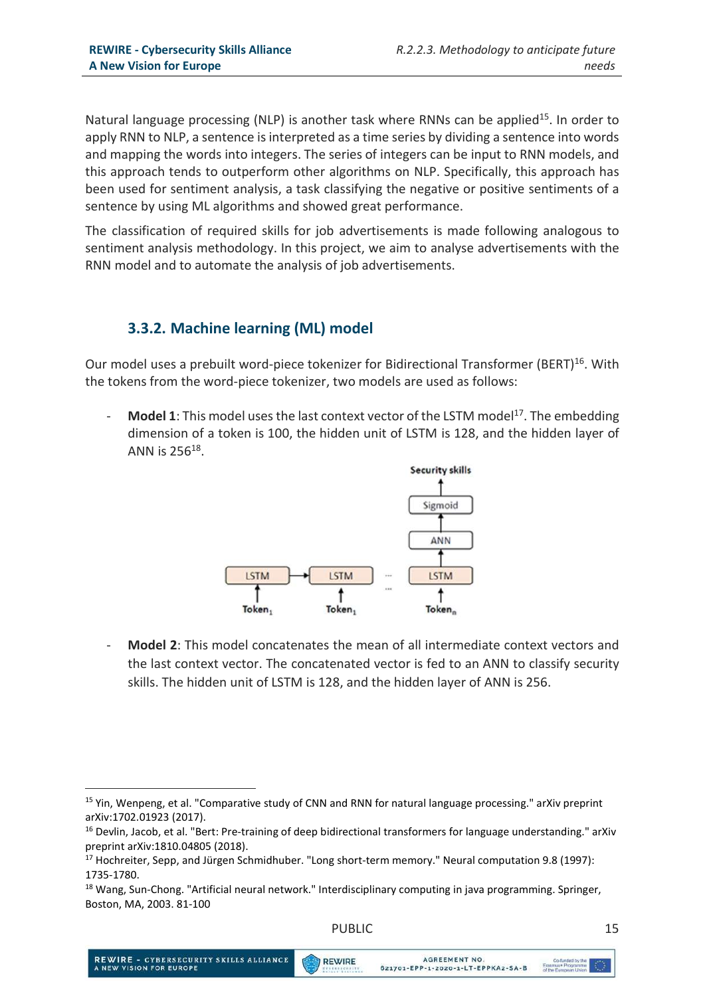Natural language processing (NLP) is another task where RNNs can be applied<sup>15</sup>. In order to apply RNN to NLP, a sentence is interpreted as a time series by dividing a sentence into words and mapping the words into integers. The series of integers can be input to RNN models, and this approach tends to outperform other algorithms on NLP. Specifically, this approach has been used for sentiment analysis, a task classifying the negative or positive sentiments of a sentence by using ML algorithms and showed great performance.

The classification of required skills for job advertisements is made following analogous to sentiment analysis methodology. In this project, we aim to analyse advertisements with the RNN model and to automate the analysis of job advertisements.

#### 3.3.2. Machine learning (ML) model

Our model uses a prebuilt word-piece tokenizer for Bidirectional Transformer (BERT)<sup>16</sup>. With the tokens from the word-piece tokenizer, two models are used as follows:

**Model 1:** This model uses the last context vector of the LSTM model<sup>17</sup>. The embedding dimension of a token is 100, the hidden unit of LSTM is 128, and the hidden layer of ANN is  $256^{18}$ .



**Model 2:** This model concatenates the mean of all intermediate context vectors and the last context vector. The concatenated vector is fed to an ANN to classify security skills. The hidden unit of LSTM is 128, and the hidden layer of ANN is 256.

REWIRE

<sup>-</sup><sup>15</sup> Yin, Wenpeng, et al. "Comparative study of CNN and RNN for natural language processing." arXiv preprint arXiv:1702.01923 (2017).

<sup>&</sup>lt;sup>16</sup> Devlin, Jacob, et al. "Bert: Pre-training of deep bidirectional transformers for language understanding." arXiv preprint arXiv:1810.04805 (2018).

<sup>&</sup>lt;sup>17</sup> Hochreiter, Sepp, and Jürgen Schmidhuber. "Long short-term memory." Neural computation 9.8 (1997): 1735-1780.

<sup>&</sup>lt;sup>18</sup> Wang, Sun-Chong. "Artificial neural network." Interdisciplinary computing in java programming. Springer, Boston, MA, 2003. 81-100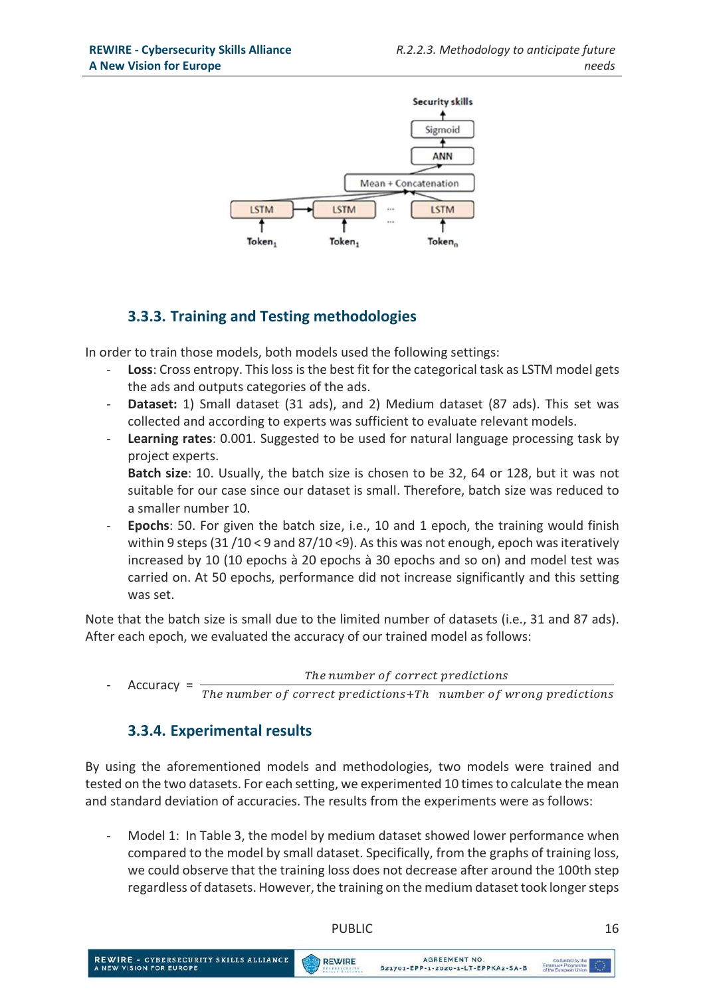

## 3.3.3. Training and Testing methodologies

In order to train those models, both models used the following settings:

- Loss: Cross entropy. This loss is the best fit for the categorical task as LSTM model gets the ads and outputs categories of the ads.
- Dataset: 1) Small dataset (31 ads), and 2) Medium dataset (87 ads). This set was collected and according to experts was sufficient to evaluate relevant models.
- Learning rates: 0.001. Suggested to be used for natural language processing task by project experts.

Batch size: 10. Usually, the batch size is chosen to be 32, 64 or 128, but it was not suitable for our case since our dataset is small. Therefore, batch size was reduced to a smaller number 10.

Epochs: 50. For given the batch size, i.e., 10 and 1 epoch, the training would finish within 9 steps (31 /10 < 9 and 87/10 <9). As this was not enough, epoch was iteratively increased by 10 (10 epochs à 20 epochs à 30 epochs and so on) and model test was carried on. At 50 epochs, performance did not increase significantly and this setting was set.

Note that the batch size is small due to the limited number of datasets (i.e., 31 and 87 ads). After each epoch, we evaluated the accuracy of our trained model as follows:

The number of correct predictions

Accuracy =  $\overline{The}$  number of correct predictions+Th number of wrong predictions

#### 3.3.4. Experimental results

By using the aforementioned models and methodologies, two models were trained and tested on the two datasets. For each setting, we experimented 10 times to calculate the mean and standard deviation of accuracies. The results from the experiments were as follows:

- Model 1: In Table 3, the model by medium dataset showed lower performance when compared to the model by small dataset. Specifically, from the graphs of training loss, we could observe that the training loss does not decrease after around the 100th step regardless of datasets. However, the training on the medium dataset took longer steps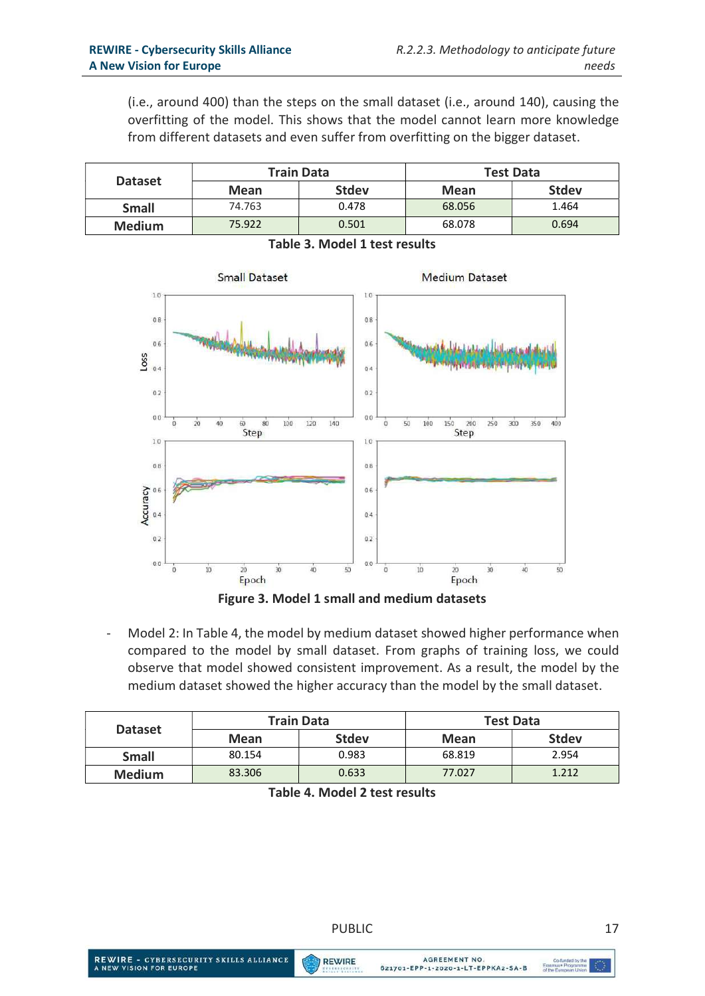(i.e., around 400) than the steps on the small dataset (i.e., around 140), causing the overfitting of the model. This shows that the model cannot learn more knowledge from different datasets and even suffer from overfitting on the bigger dataset.

| <b>Dataset</b> |        | <b>Train Data</b> | <b>Test Data</b> |              |
|----------------|--------|-------------------|------------------|--------------|
|                | Mean   | <b>Stdev</b>      | Mean             | <b>Stdev</b> |
| <b>Small</b>   | 74.763 | 0.478             | 68.056           | 1.464        |
| <b>Medium</b>  | 75.922 | 0.501             | 68.078           | 0.694        |



Table 3. Model 1 test results



| <b>Dataset</b> |        | <b>Train Data</b> | <b>Test Data</b> |              |
|----------------|--------|-------------------|------------------|--------------|
|                | Mean   | <b>Stdev</b>      | Mean             | <b>Stdev</b> |
| <b>Small</b>   | 80.154 | 0.983             | 68.819           | 2.954        |
| <b>Medium</b>  | 83.306 | 0.633             | 77.027           | 1.212        |

| Table 4. Model 2 test results |
|-------------------------------|
|-------------------------------|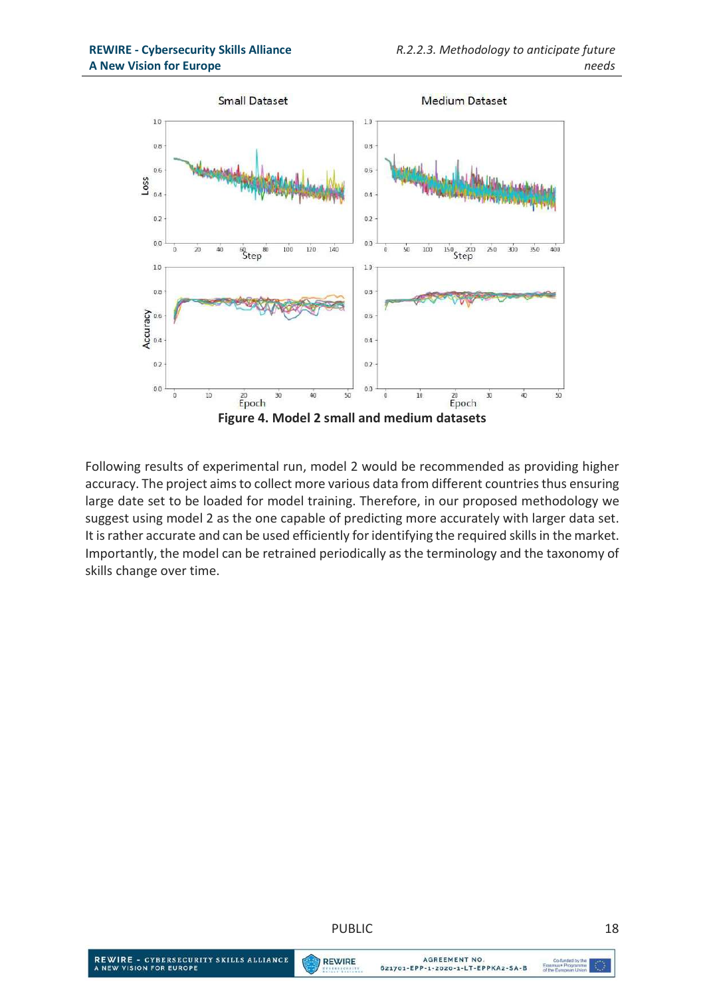

Following results of experimental run, model 2 would be recommended as providing higher accuracy. The project aims to collect more various data from different countries thus ensuring large date set to be loaded for model training. Therefore, in our proposed methodology we suggest using model 2 as the one capable of predicting more accurately with larger data set. It is rather accurate and can be used efficiently for identifying the required skills in the market. Importantly, the model can be retrained periodically as the terminology and the taxonomy of skills change over time.



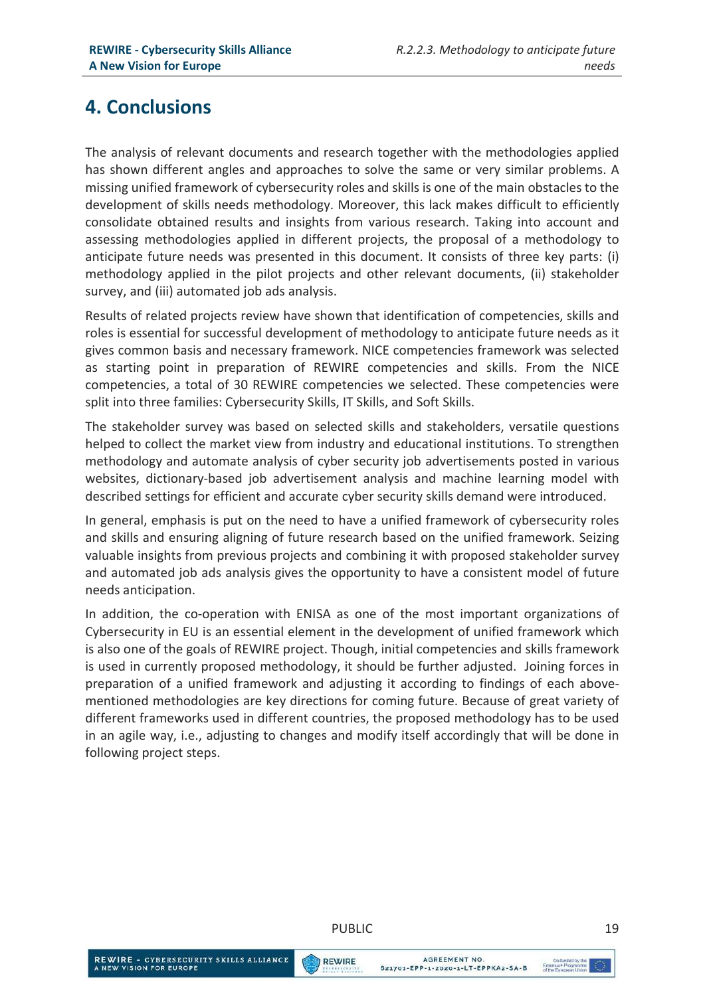# 4. Conclusions

The analysis of relevant documents and research together with the methodologies applied has shown different angles and approaches to solve the same or very similar problems. A missing unified framework of cybersecurity roles and skills is one of the main obstacles to the development of skills needs methodology. Moreover, this lack makes difficult to efficiently consolidate obtained results and insights from various research. Taking into account and assessing methodologies applied in different projects, the proposal of a methodology to anticipate future needs was presented in this document. It consists of three key parts: (i) methodology applied in the pilot projects and other relevant documents, (ii) stakeholder survey, and (iii) automated job ads analysis.

Results of related projects review have shown that identification of competencies, skills and roles is essential for successful development of methodology to anticipate future needs as it gives common basis and necessary framework. NICE competencies framework was selected as starting point in preparation of REWIRE competencies and skills. From the NICE competencies, a total of 30 REWIRE competencies we selected. These competencies were split into three families: Cybersecurity Skills, IT Skills, and Soft Skills.

The stakeholder survey was based on selected skills and stakeholders, versatile questions helped to collect the market view from industry and educational institutions. To strengthen methodology and automate analysis of cyber security job advertisements posted in various websites, dictionary-based job advertisement analysis and machine learning model with described settings for efficient and accurate cyber security skills demand were introduced.

In general, emphasis is put on the need to have a unified framework of cybersecurity roles and skills and ensuring aligning of future research based on the unified framework. Seizing valuable insights from previous projects and combining it with proposed stakeholder survey and automated job ads analysis gives the opportunity to have a consistent model of future needs anticipation.

In addition, the co-operation with ENISA as one of the most important organizations of Cybersecurity in EU is an essential element in the development of unified framework which is also one of the goals of REWIRE project. Though, initial competencies and skills framework is used in currently proposed methodology, it should be further adjusted. Joining forces in preparation of a unified framework and adjusting it according to findings of each abovementioned methodologies are key directions for coming future. Because of great variety of different frameworks used in different countries, the proposed methodology has to be used in an agile way, i.e., adjusting to changes and modify itself accordingly that will be done in following project steps.

REWIRE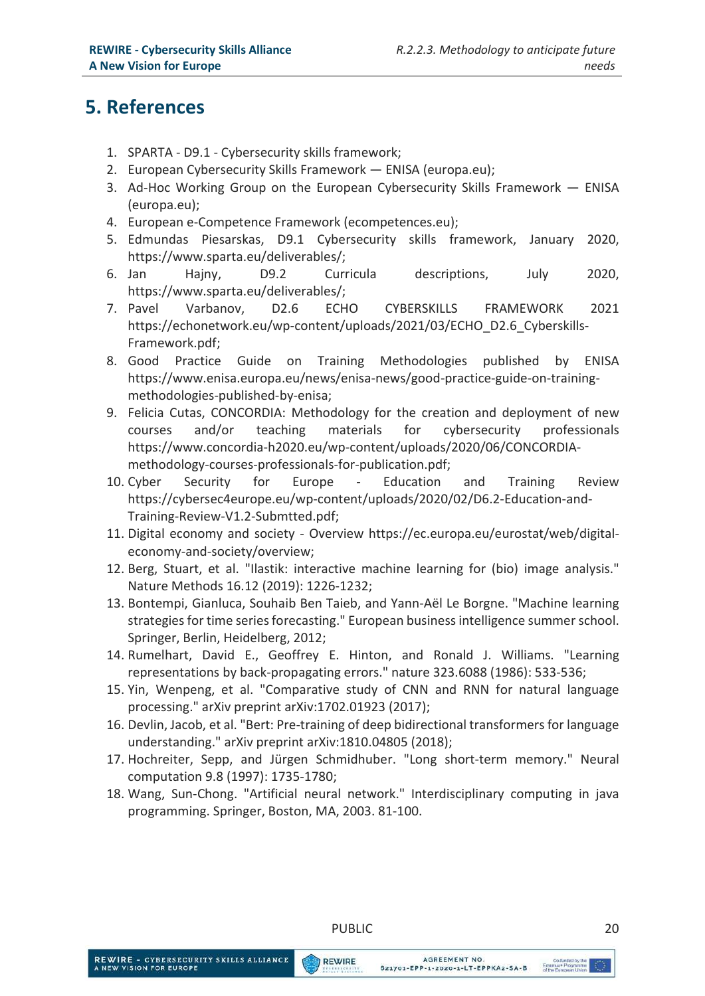# 5. References

- 1. SPARTA D9.1 Cybersecurity skills framework;
- 2. European Cybersecurity Skills Framework ENISA (europa.eu);
- 3. Ad-Hoc Working Group on the European Cybersecurity Skills Framework ENISA (europa.eu);
- 4. European e-Competence Framework (ecompetences.eu);
- 5. Edmundas Piesarskas, D9.1 Cybersecurity skills framework, January 2020, https://www.sparta.eu/deliverables/;
- 6. Jan Hajny, D9.2 Curricula descriptions, July 2020, https://www.sparta.eu/deliverables/;
- 7. Pavel Varbanov, D2.6 ECHO CYBERSKILLS FRAMEWORK 2021 https://echonetwork.eu/wp-content/uploads/2021/03/ECHO\_D2.6\_Cyberskills-Framework.pdf;
- 8. Good Practice Guide on Training Methodologies published by ENISA https://www.enisa.europa.eu/news/enisa-news/good-practice-guide-on-trainingmethodologies-published-by-enisa;
- 9. Felicia Cutas, CONCORDIA: Methodology for the creation and deployment of new courses and/or teaching materials for cybersecurity professionals https://www.concordia-h2020.eu/wp-content/uploads/2020/06/CONCORDIAmethodology-courses-professionals-for-publication.pdf;
- 10. Cyber Security for Europe Education and Training Review https://cybersec4europe.eu/wp-content/uploads/2020/02/D6.2-Education-and-Training-Review-V1.2-Submtted.pdf;
- 11. Digital economy and society Overview https://ec.europa.eu/eurostat/web/digitaleconomy-and-society/overview;
- 12. Berg, Stuart, et al. "Ilastik: interactive machine learning for (bio) image analysis." Nature Methods 16.12 (2019): 1226-1232;
- 13. Bontempi, Gianluca, Souhaib Ben Taieb, and Yann-Aël Le Borgne. "Machine learning strategies for time series forecasting." European business intelligence summer school. Springer, Berlin, Heidelberg, 2012;
- 14. Rumelhart, David E., Geoffrey E. Hinton, and Ronald J. Williams. "Learning representations by back-propagating errors." nature 323.6088 (1986): 533-536;
- 15. Yin, Wenpeng, et al. "Comparative study of CNN and RNN for natural language processing." arXiv preprint arXiv:1702.01923 (2017);
- 16. Devlin, Jacob, et al. "Bert: Pre-training of deep bidirectional transformers for language understanding." arXiv preprint arXiv:1810.04805 (2018);
- 17. Hochreiter, Sepp, and Jürgen Schmidhuber. "Long short-term memory." Neural computation 9.8 (1997): 1735-1780;
- 18. Wang, Sun-Chong. "Artificial neural network." Interdisciplinary computing in java programming. Springer, Boston, MA, 2003. 81-100.

#### PUBLIC 20

**REWIRE**